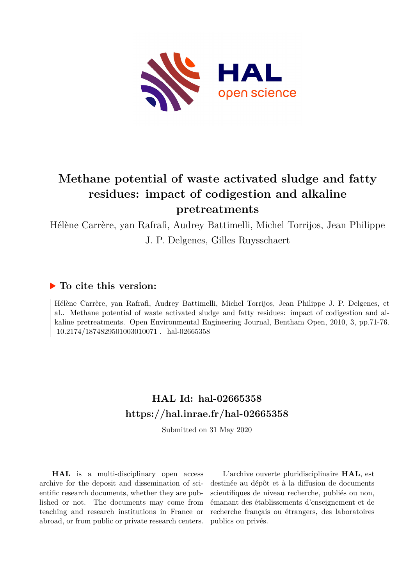

# **Methane potential of waste activated sludge and fatty residues: impact of codigestion and alkaline pretreatments**

Hélène Carrère, yan Rafrafi, Audrey Battimelli, Michel Torrijos, Jean Philippe J. P. Delgenes, Gilles Ruysschaert

# **To cite this version:**

Hélène Carrère, yan Rafrafi, Audrey Battimelli, Michel Torrijos, Jean Philippe J. P. Delgenes, et al.. Methane potential of waste activated sludge and fatty residues: impact of codigestion and alkaline pretreatments. Open Environmental Engineering Journal, Bentham Open, 2010, 3, pp.71-76. filo.2174/1874829501003010071 hal-02665358

# **HAL Id: hal-02665358 <https://hal.inrae.fr/hal-02665358>**

Submitted on 31 May 2020

**HAL** is a multi-disciplinary open access archive for the deposit and dissemination of scientific research documents, whether they are published or not. The documents may come from teaching and research institutions in France or abroad, or from public or private research centers.

L'archive ouverte pluridisciplinaire **HAL**, est destinée au dépôt et à la diffusion de documents scientifiques de niveau recherche, publiés ou non, émanant des établissements d'enseignement et de recherche français ou étrangers, des laboratoires publics ou privés.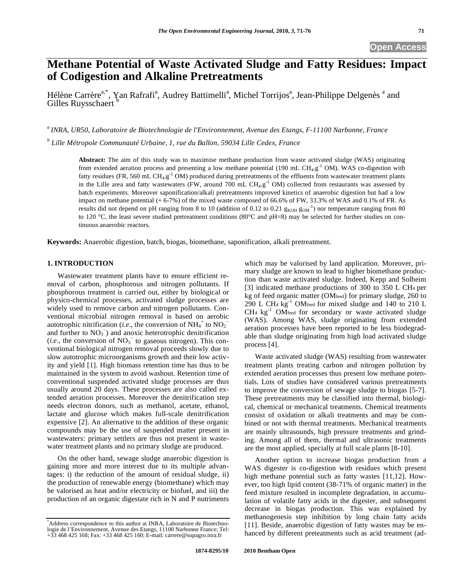# **Methane Potential of Waste Activated Sludge and Fatty Residues: Impact of Codigestion and Alkaline Pretreatments**

Hélène Carrère<sup>a,\*</sup>, Yan Rafrafi<sup>a</sup>, Audrey Battimelli<sup>a</sup>, Michel Torrijos<sup>a</sup>, Jean-Philippe Delgenès <sup>a</sup> and Gilles Ruysschaert <sup>b</sup>

*a INRA, UR50, Laboratoire de Biotechnologie de l'Environnement, Avenue des Etangs, F-11100 Narbonne, France* 

*b Lille Métropole Communauté Urbaine, 1, rue du Ballon, 59034 Lille Cedex, France* 

**Abstract:** The aim of this study was to maximise methane production from waste activated sludge (WAS) originating from extended aeration process and presenting a low methane potential (190 mL CH<sub>4</sub>.g<sup>-1</sup> OM). WAS co-digestion with fatty residues (FR, 560 mL CH<sub>4</sub>.g<sup>-1</sup> OM) produced during pretreatments of the effluents from wastewater treatment plants in the Lille area and fatty wastewaters (FW, around 700 mL  $CH_4.g^{-1}$  OM) collected from restaurants was assessed by batch experiments. Moreover saponification/alkali pretreatments improved kinetics of anaerobic digestion but had a low impact on methane potential (+ 6-7%) of the mixed waste composed of 66.6% of FW, 33.3% of WAS and 0.1% of FR. As results did not depend on pH ranging from 8 to 10 (addition of 0.12 to 0.21  $g_{KOH} g_{OM}^{-1}$ ) nor temperature ranging from 80 to 120 °C, the least severe studied pretreatment conditions (80°C and pH=8) may be selected for further studies on continuous anaerobic reactors.

**Keywords:** Anaerobic digestion, batch, biogas, biomethane, saponification, alkali pretreatment.

# **1. INTRODUCTION**

Wastewater treatment plants have to ensure efficient removal of carbon, phosphorous and nitrogen pollutants. If phosphorous treatment is carried out, either by biological or physico-chemical processes, activated sludge processes are widely used to remove carbon and nitrogen pollutants. Conventional microbial nitrogen removal is based on aerobic autotrophic nitrification (*i.e.*, the conversion of  $NH_4^+$  to  $NO_2^$ and further to  $NO<sub>3</sub><sup>-</sup>$ ) and anoxic heterotrophic denitrification  $(i.e.,$  the conversion of  $NO<sub>3</sub><sup>-</sup>$  to gaseous nitrogen). This conventional biological nitrogen removal proceeds slowly due to slow autotrophic microorganisms growth and their low activity and yield [1]. High biomass retention time has thus to be maintained in the system to avoid washout. Retention time of conventional suspended activated sludge processes are thus usually around 20 days. These processes are also called extended aeration processes. Moreover the denitrification step needs electron donors, such as methanol, acetate, ethanol, lactate and glucose which makes full-scale denitrification expensive [2]. An alternative to the addition of these organic compounds may be the use of suspended matter present in wastewaters: primary settlers are thus not present in wastewater treatment plants and no primary sludge are produced.

On the other hand, sewage sludge anaerobic digestion is gaining more and more interest due to its multiple advantages: i) the reduction of the amount of residual sludge, ii) the production of renewable energy (biomethane) which may be valorised as heat and/or electricity or biofuel, and iii) the production of an organic digestate rich in N and P nutriments which may be valorised by land application. Moreover, primary sludge are known to lead to higher biomethane production than waste activated sludge. Indeed, Kepp and Solheim [3] indicated methane productions of 300 to 350 L CH4 per kg of feed organic matter (OMfeed) for primary sludge, 260 to 290 L CH<sub>4</sub> kg<sup>-1</sup> OM<sub>feed</sub> for mixed sludge and 140 to 210 L  $CH<sub>4</sub> kg<sup>-1</sup> OM<sub>feed</sub>$  for secondary or waste activated sludge (WAS). Among WAS, sludge originating from extended aeration processes have been reported to be less biodegradable than sludge originating from high load activated sludge process [4].

Waste activated sludge (WAS) resulting from wastewater treatment plants treating carbon and nitrogen pollution by extended aeration processes thus present low methane potentials. Lots of studies have considered various pretreatments to improve the conversion of sewage sludge to biogas [5-7]. These pretreatments may be classified into thermal, biological, chemical or mechanical treatments. Chemical treatments consist of oxidation or alkali treatments and may be combined or not with thermal treatments. Mechanical treatments are mainly ultrasounds, high pressure treatments and grinding. Among all of them, thermal and ultrasonic treatments are the most applied, specially at full scale plants [8-10].

Another option to increase biogas production from a WAS digester is co-digestion with residues which present high methane potential such as fatty wastes [11,12]. However, too high lipid content (38-71% of organic matter) in the feed mixture resulted in incomplete degradation, in accumulation of volatile fatty acids in the digester, and subsequent decrease in biogas production. This was explained by methanogenesis step inhibition by long chain fatty acids [11]. Beside, anaerobic digestion of fatty wastes may be enhanced by different preteatments such as acid treatment (ad-

<sup>\*</sup> Address correspondence to this author at INRA, Laboratoire de Biotechnologie de l'Environnement, Avenue des Etangs, 11100 Narbonne France; Tel: +33 468 425 168; Fax: +33 468 425 160; E-mail: carrere@supagro.inra.fr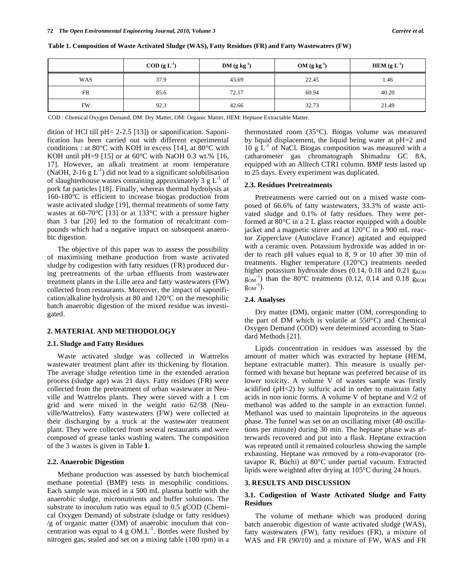|           | $\text{COD } (\text{g } L^{-1})$ | $DM(g kg-1)$ | $OM(g kg-1)$ | HEM $(g L-1)$ |
|-----------|----------------------------------|--------------|--------------|---------------|
| WAS       | 37.9                             | 43.69        | 22.45        | 1.46          |
| FR        | 85.6                             | 72.17        | 60.94        | 40.20         |
| <b>FW</b> | 92.3                             | 42.66        | 32.73        | 21.49         |

**Table 1. Composition of Waste Activated Sludge (WAS), Fatty Residues (FR) and Fatty Wastewaters (FW)** 

COD : Chemical Oxygen Demand, DM: Dry Matter, OM: Organic Matter, HEM: Heptane Extractable Matter.

dition of HCl till pH= 2-2.5 [13]) or saponification. Saponification has been carried out with different experimental conditions : at 80 $^{\circ}$ C with KOH in excess [14], at 80 $^{\circ}$ C with KOH until pH=9 [15] or at  $60^{\circ}$ C with NaOH 0.3 wt.% [16, 17]. However, an alkali treatment at room temperature (NaOH, 2-16  $g L^{-1}$ ) did not lead to a significant solubilisation of slaughterhouse wastes containing approximately 3  $g L^{-1}$  of pork fat particles [18]. Finally, whereas thermal hydrolysis at 160-180°C is efficient to increase biogas production from waste activated sludge [19], thermal treatments of some fatty wastes at 60-70°C [13] or at 133°C with a pressure higher than 3 bar [20] led to the formation of recalcitrant compounds which had a negative impact on subsequent anaerobic digestion.

The objective of this paper was to assess the possibility of maximising methane production from waste activated sludge by codigestion with fatty residues (FR) produced during pretreatments of the urban effluents from wastewater treatment plants in the Lille area and fatty wastewaters (FW) collected from restaurants. Moreover, the impact of saponification/alkaline hydrolysis at 80 and 120°C on the mesophilic batch anaerobic digestion of the mixed residue was investigated.

### **2. MATERIAL AND METHODOLOGY**

#### **2.1. Sludge and Fatty Residues**

Waste activated sludge was collected in Wattrelos wastewater treatment plant after its thickening by flotation. The average sludge retention time in the extended aeration process (sludge age) was 21 days. Fatty residues (FR) were collected from the pretreatment of urban wastewater in Neuville and Wattrelos plants. They were sieved with a 1 cm grid and were mixed in the weight ratio 62/38 (Neuville/Wattrelos). Fatty wastewaters (FW) were collected at their discharging by a truck at the wastewater treatment plant. They were collected from several restaurants and were composed of grease tanks washing waters. The composition of the 3 wastes is given in Table **1**.

### **2.2. Anaerobic Digestion**

Methane production was assessed by batch biochemical methane potential (BMP) tests in mesophilic conditions. Each sample was mixed in a 500 mL plasma bottle with the anaerobic sludge, micronutrients and buffer solutions. The substrate to inoculum ratio was equal to 0.5 gCOD (Chemical Oxygen Demand) of substrate (sludge or fatty residues) /g of organic matter (OM) of anaerobic inoculum that concentration was equal to 4 g  $OM.L^{-1}$ . Bottles were flushed by nitrogen gas, sealed and set on a mixing table (100 rpm) in a thermostated room (35°C). Biogas volume was measured by liquid displacement, the liquid being water at pH=2 and  $10 \text{ g L}^{-1}$  of NaCl. Biogas composition was measured with a catharometer gas chromatograph Shimadzu GC 8A, equipped with an Alltech CTR1 column. BMP tests lasted up to 25 days. Every experiment was duplicated.

#### **2.3. Residues Pretreatments**

Pretreatments were carried out on a mixed waste composed of 66.6% of fatty wastewaters, 33.3% of waste activated sludge and 0.1% of fatty residues. They were performed at 80°C in a 2 L glass reactor equipped with a double jacket and a magnetic stirrer and at 120°C in a 900 mL reactor Zipperclave (Autoclave France) agitated and equipped with a ceramic oven. Potassium hydroxide was added in order to reach pH values equal to 8, 9 or 10 after 30 min of treatments. Higher temperature (120°C) treatments needed higher potassium hydroxide doses  $(0.14, 0.18$  and  $0.21$  g<sub>KOH</sub>  $g_{OM}$ <sup>-1</sup>) than the 80°C treatments (0.12, 0.14 and 0.18  $g_{KOH}$  $g_{OM}^{-1}$ ).

# **2.4. Analyses**

Dry matter (DM), organic matter (OM, corresponding to the part of DM which is volatile at 550°C) and Chemical Oxygen Demand (COD) were determined according to Standard Methods [21].

Lipids concentration in residues was assessed by the amount of matter which was extracted by heptane (HEM, heptane extractable matter). This measure is usually performed with hexane but heptane was preferred because of its lower toxicity. A volume V of wastes sample was firstly acidified (pH<2) by sulfuric acid in order to maintain fatty acids in non ionic forms. A volume V of heptane and V/2 of methanol was added to the sample in an extraction funnel. Methanol was used to maintain lipoproteins in the aqueous phase. The funnel was set on an oscillating mixer (40 oscillations per minute) during 30 min. The heptane phase was afterwards recovered and put into a flask. Heptane extraction was repeated until it remained colourless showing the sample exhausting. Heptane was removed by a roto-evaporator (rotavapor R, Büchi) at 80°C under partial vacuum. Extracted lipids were weighted after drying at 105°C during 24 hours.

#### **3. RESULTS AND DISCUSSION**

## **3.1. Codigestion of Waste Activated Sludge and Fatty Residues**

The volume of methane which was produced during batch anaerobic digestion of waste activated sludge (WAS), fatty wastewaters (FW), fatty residues (FR), a mixture of WAS and FR (90/10) and a mixture of FW, WAS and FR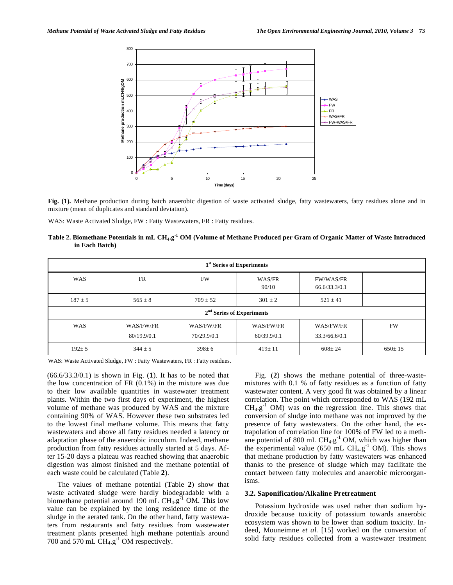

**Fig. (1).** Methane production during batch anaerobic digestion of waste activated sludge, fatty wastewaters, fatty residues alone and in mixture (mean of duplicates and standard deviation).

WAS: Waste Activated Sludge, FW : Fatty Wastewaters, FR : Fatty residues.

**Table 2. Biomethane Potentials in mL CH4.g-1 OM (Volume of Methane Produced per Gram of Organic Matter of Waste Introduced in Each Batch)** 

| 1 <sup>st</sup> Series of Experiments |             |              |                 |                                   |              |  |
|---------------------------------------|-------------|--------------|-----------------|-----------------------------------|--------------|--|
| WAS                                   | <b>FR</b>   | FW           | WAS/FR<br>90/10 | <b>FW/WAS/FR</b><br>66.6/33.3/0.1 |              |  |
| $187 \pm 5$                           | $565 \pm 8$ | $709 \pm 52$ | $301 \pm 2$     | $521 \pm 41$                      |              |  |
| $2nd$ Series of Experiments           |             |              |                 |                                   |              |  |
| WAS                                   | WAS/FW/FR   | WAS/FW/FR    | WAS/FW/FR       | WAS/FW/FR                         | <b>FW</b>    |  |
|                                       | 80/19.9/0.1 | 70/29.9/0.1  | 60/39.9/0.1     | 33.3/66.6/0.1                     |              |  |
| $192 \pm 5$                           | $344 \pm 5$ | $398 \pm 6$  | $419 \pm 11$    | $608 \pm 24$                      | $650 \pm 15$ |  |

WAS: Waste Activated Sludge, FW : Fatty Wastewaters, FR : Fatty residues.

(66.6/33.3/0.1) is shown in Fig. (**1**). It has to be noted that the low concentration of FR (0.1%) in the mixture was due to their low available quantities in wastewater treatment plants. Within the two first days of experiment, the highest volume of methane was produced by WAS and the mixture containing 90% of WAS. However these two substrates led to the lowest final methane volume. This means that fatty wastewaters and above all fatty residues needed a latency or adaptation phase of the anaerobic inoculum. Indeed, methane production from fatty residues actually started at 5 days. After 15-20 days a plateau was reached showing that anaerobic digestion was almost finished and the methane potential of each waste could be calculated (Table **2**).

The values of methane potential (Table **2**) show that waste activated sludge were hardly biodegradable with a biomethane potential around 190 mL  $CH_4.g^{-1}$  OM. This low value can be explained by the long residence time of the sludge in the aerated tank. On the other hand, fatty wastewaters from restaurants and fatty residues from wastewater treatment plants presented high methane potentials around 700 and 570 mL  $CH<sub>4.9</sub><sup>-1</sup>$  OM respectively.

Fig. (**2**) shows the methane potential of three-wastemixtures with 0.1 % of fatty residues as a function of fatty wastewater content. A very good fit was obtained by a linear correlation. The point which corresponded to WAS (192 mL  $CH<sub>4.9</sub><sup>-1</sup>$  OM) was on the regression line. This shows that conversion of sludge into methane was not improved by the presence of fatty wastewaters. On the other hand, the extrapolation of correlation line for 100% of FW led to a methane potential of 800 mL  $CH_4.g^{-1}$  OM, which was higher than the experimental value (650 mL  $CH<sub>4.9</sub><sup>-1</sup>$  OM). This shows that methane production by fatty wastewaters was enhanced thanks to the presence of sludge which may facilitate the contact between fatty molecules and anaerobic microorganisms.

#### **3.2. Saponification/Alkaline Pretreatment**

Potassium hydroxide was used rather than sodium hydroxide because toxicity of potassium towards anaerobic ecosystem was shown to be lower than sodium toxicity. Indeed, Mouneimne *et al.* [15] worked on the conversion of solid fatty residues collected from a wastewater treatment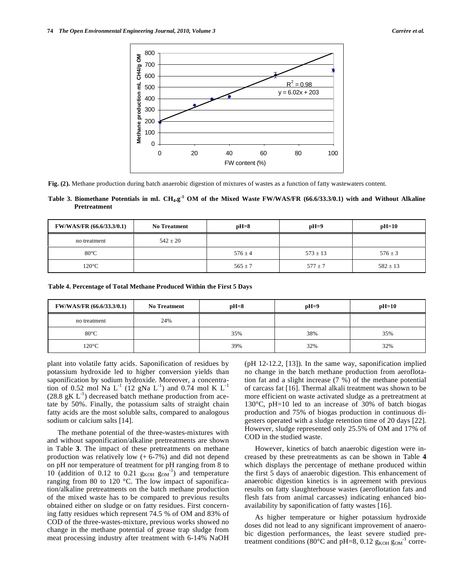

**Fig. (2).** Methane production during batch anaerobic digestion of mixtures of wastes as a function of fatty wastewaters content.

**Table 3. Biomethane Potentials in mL CH4.g-1 OM of the Mixed Waste FW/WAS/FR (66.6/33.3/0.1) with and Without Alkaline Pretreatment** 

| <b>FW/WAS/FR (66.6/33.3/0.1)</b> | <b>No Treatment</b> | $pH=8$      | $pH=9$       | $pH=10$      |
|----------------------------------|---------------------|-------------|--------------|--------------|
| no treatment                     | $542 \pm 20$        |             |              |              |
| $80^{\circ}$ C                   |                     | $576 \pm 4$ | $573 \pm 13$ | $576 \pm 3$  |
| $120^{\circ}$ C                  |                     | $565 \pm 7$ | $577 \pm 7$  | $582 \pm 13$ |

**Table 4. Percentage of Total Methane Produced Within the First 5 Days** 

| <b>FW/WAS/FR (66.6/33.3/0.1)</b> | <b>No Treatment</b> | $pH=8$ | $pH=9$ | $pH=10$ |
|----------------------------------|---------------------|--------|--------|---------|
| no treatment                     | 24%                 |        |        |         |
| $80^{\circ}$ C                   |                     | 35%    | 38%    | 35%     |
| $120^{\circ}$ C                  |                     | 39%    | 32%    | 32%     |

plant into volatile fatty acids. Saponification of residues by potassium hydroxide led to higher conversion yields than saponification by sodium hydroxide. Moreover, a concentration of 0.52 mol Na  $L^{-1}$  (12 gNa  $L^{-1}$ ) and 0.74 mol K  $L^{-1}$  $(28.8 \text{ gK L}^{-1})$  decreased batch methane production from acetate by 50%. Finally, the potassium salts of straight chain fatty acids are the most soluble salts, compared to analogous sodium or calcium salts [14].

The methane potential of the three-wastes-mixtures with and without saponification/alkaline pretreatments are shown in Table **3**. The impact of these pretreatments on methane production was relatively low  $(+ 6-7%)$  and did not depend on pH nor temperature of treatment for pH ranging from 8 to 10 (addition of 0.12 to 0.21  $g_{KOH} g_{OM}^{-1}$ ) and temperature ranging from 80 to 120 °C. The low impact of saponification/alkaline pretreatments on the batch methane production of the mixed waste has to be compared to previous results obtained either on sludge or on fatty residues. First concerning fatty residues which represent 74.5 % of OM and 83% of COD of the three-wastes-mixture, previous works showed no change in the methane potential of grease trap sludge from meat processing industry after treatment with 6-14% NaOH (pH 12-12.2, [13]). In the same way, saponification implied no change in the batch methane production from aeroflotation fat and a slight increase (7 %) of the methane potential of carcass fat [16]. Thermal alkali treatment was shown to be more efficient on waste activated sludge as a pretreatment at 130°C, pH=10 led to an increase of 30% of batch biogas production and 75% of biogas production in continuous digesters operated with a sludge retention time of 20 days [22]. However, sludge represented only 25.5% of OM and 17% of COD in the studied waste.

However, kinetics of batch anaerobic digestion were increased by these pretreatments as can be shown in Table **4** which displays the percentage of methane produced within the first 5 days of anaerobic digestion. This enhancement of anaerobic digestion kinetics is in agreement with previous results on fatty slaughterhouse wastes (aeroflotation fats and flesh fats from animal carcasses) indicating enhanced bioavailability by saponification of fatty wastes [16].

As higher temperature or higher potassium hydroxide doses did not lead to any significant improvement of anaerobic digestion performances, the least severe studied pretreatment conditions (80 $^{\circ}$ C and pH=8, 0.12 g<sub>KOH</sub> g<sub>OM</sub><sup>-1</sup> corre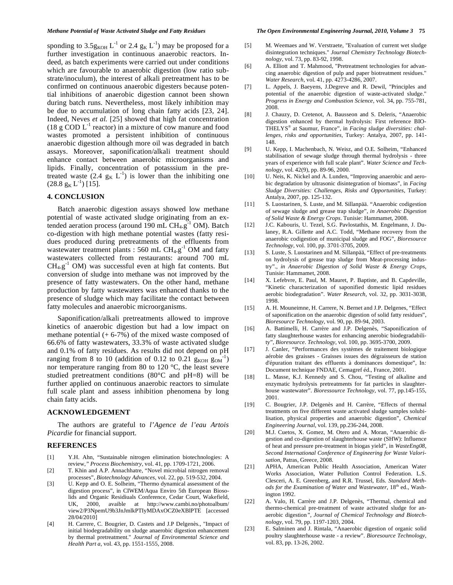sponding to 3.5g<sub>KOH</sub> L<sup>-1</sup> or 2.4 g<sub>K</sub> L<sup>-1</sup>) may be proposed for a further investigation in continuous anaerobic reactors. Indeed, as batch experiments were carried out under conditions which are favourable to anaerobic digestion (low ratio substrate/inoculum), the interest of alkali pretreatment has to be confirmed on continuous anaerobic digesters because potential inhibitions of anaerobic digestion cannot been shown during batch runs. Nevertheless, most likely inhibition may be due to accumulation of long chain fatty acids [23, 24]. Indeed, Neves *et al.* [25] showed that high fat concentration (18 g COD  $L^{-1}$  reactor) in a mixture of cow manure and food wastes promoted a persistent inhibition of continuous anaerobic digestion although more oil was degraded in batch assays. Moreover, saponification/alkali treatment should enhance contact between anaerobic microorganisms and lipids. Finally, concentration of potasssium in the pretreated waste (2.4  $g_K L^{-1}$ ) is lower than the inhibiting one  $(28.8 \text{ g}_{\text{K}} L^{-1})$  [15].

## **4. CONCLUSION**

Batch anaerobic digestion assays showed low methane potential of waste activated sludge originating from an extended aeration process (around 190 mL  $CH_4.g<sup>-1</sup>$  OM). Batch co-digestion with high methane potential wastes (fatty residues produced during pretreatments of the effluents from wastewater treatment plants : 560 mL  $CH<sub>4.9</sub>$ <sup>-1</sup> OM and fatty wastewaters collected from restaurants: around 700 mL  $CH_4.g^{-1}$  OM) was successful even at high fat contents. But conversion of sludge into methane was not improved by the presence of fatty wastewaters. On the other hand, methane production by fatty wastewaters was enhanced thanks to the presence of sludge which may facilitate the contact between fatty molecules and anaerobic microorganisms.

Saponification/alkali pretreatments allowed to improve kinetics of anaerobic digestion but had a low impact on methane potential  $(+ 6-7%)$  of the mixed waste composed of 66.6% of fatty wastewaters, 33.3% of waste activated sludge and 0.1% of fatty residues. As results did not depend on pH ranging from 8 to 10 (addition of 0.12 to 0.21  $g_{KOH} g_{OM}^{-1}$ ) nor temperature ranging from 80 to 120 °C, the least severe studied pretreatment conditions (80°C and pH=8) will be further applied on continuous anaerobic reactors to simulate full scale plant and assess inhibition phenomena by long chain fatty acids.

# **ACKNOWLEDGEMENT**

The authors are grateful to *l'Agence de l'eau Artois Picardie* for financial support.

### **REFERENCES**

- [1] Y.H. Ahn, "Sustainable nitrogen elimination biotechnologies: A review,*" Process Biochemistry*, vol. 41, pp. 1709-1721, 2006.
- [2] T. Khin and A.P. Annachhatre, "Novel microbial nitrogen removal processes", *Biotechnology Advances*, vol. 22, pp. 519-532, 2004.
- [3] U. Kepp and O. E. Solheim, "Thermo dynamical assessment of the digestion process", in CIWEM/Aqua Enviro 5th European Biosolids and Organic Residiuals Conference, Cedar Court, Wakefield, UK, 2000, avaible at http://www.cambi.no/photoalbum/ view2/P3NpemU9b3JnJmlkPTIyMDAxOCZ0eXBlPTE [accessed 28/04/2010]
- [4] H. Carrere, C. Bougrier, D. Castets and J.P Delgenès., "Impact of initial biodegradability on sludge anaerobic digestion enhancement by thermal pretreatment." *Journal of Environmental Science and Health Part a*, vol. 43, pp. 1551-1555, 2008.
- [5] M. Weemaes and W. Verstraete, "Evaluation of current wet sludge disintegration techniques." *Journal Chemistry Technology Biotechnology*, vol. 73, pp. 83-92, 1998.
- [6] A. Elliott and T. Mahmood, "Pretreatment technologies for advancing anaerobic digestion of pulp and paper biotreatment residues." *Water Research*, vol. 41, pp. 4273-4286, 2007.
- [7] L. Appels, J. Baeyens, J.Degreve and R. Dewil, "Principles and potential of the anaerobic digestion of waste-activated sludge." *Progress in Energy and Combustion Science,* vol. 34, pp. 755-781, 2008.
- [8] J. Chauzy, D. Cretenot, A. Bausseon and S. Deleris, "Anaerobic digestion enhanced by thermal hydrolysis: First reference BIO-THELYS® at Saumur, France", in *Facing sludge diversities: challenges, risks and opportunities*, Turkey: Antalya, 2007, pp. 141- 148.
- [9] U. Kepp, I. Machenbach, N. Weisz, and O.E. Solheim, "Enhanced stabilisation of sewage sludge through thermal hydrolysis - three years of experience with full scale plant". *Water Science and Technology*, vol. 42(9), pp. 89-96, 2000.
- [10] U. Neis, K. Nickel and A. Lunden, "Improving anaerobic and aerobic degradation by ultrasonic disintegration of biomass", in *Facing Sludge Diversities: Challenges, Risks and Opportunities*, Turkey: Antalya, 2007, pp. 125-132.
- [11] S. Luostarinen, S. Luste, and M. Sillanpää. "Anaerobic codigestion of sewage sludge and grease trap sludge", *in Anaerobic Digestion of Solid Waste & Energy Crops*. Tunisie: Hammamet, 2008.
- [12] J.C. Kabouris, U. Tezel, S.G. Pavlostathis, M. Engelmann, J. Dulaney, R.A. Gillette and A.C. Todd, "Methane recovery from the anaerobic codigestion of municipal sludge and FOG", *Bioresource Technology*, vol. 100, pp. 3701-3705, 2009.
- [13] S. Luste, S. Luostarinen and M. Sillanpää, "Effect of pre-treatments on hydrolysis of grease trap sludge from Meat-processing industry"., *in Anaerobic Digestion of Solid Waste & Energy Crops*, Tunisie: Hammamet, 2008.
- [14] X. Lefebvre, E. Paul, M. Mauret, P. Baptiste, and B. Capdeville, "Kinetic characterization of saponified domestic lipid residues aerobic biodegradation". *Water Research*, vol. 32, pp. 3031-3038, 1998.
- [15] A. H. Mouneimne, H. Carrere, N. Bernet and J.P. Delgenes, "Effect" of saponification on the anaerobic digestion of solid fatty residues", *Bioresource Technology*, vol. 90, pp. 89-94, 2003.
- [16] A. Battimelli, H. Carrère and J.P. Delgenès, "Saponification of fatty slaughterhouse wastes for enhancing anerobic biodegradability", *Bioresource. Technology*, vol. 100, pp. 3695-3700, 2009.
- [17] J. Canler, "Performances des systèmes de traitement biologique aérobie des graisses - Graisses issues des dégraisseurs de station d'épuration traitant des effluents à dominances domestique", In*:* Document technique FNDAE, Cemagref éd., France, 2001.
- [18] L. Masse, K.J. Kennedy and S. Chou, "Testing of alkaline and enzymatic hydrolysis pretreatments for fat particles in slaughterhouse wastewater". *Bioressource Technology*, vol. 77, pp.145-155, 2001.
- [19] C. Bougrier, J.P. Delgenès and H. Carrère, "Effects of thermal treatments on five different waste activated sludge samples solubilisation, physical properties and anaerobic digestion", *Chemical Engineering Journal*, vol. 139, pp.236-244, 2008.
- [20] M.J. Cuetos, X. Gomez, M. Otero and A. Moran, "Anaerobic digestion and co-digestion of slaughterhouse waste (SHW): Influence of heat and pressure pre-treatment in biogas yield", in *WasteEng08*, *Second International Conference of Engineering for Waste Valorisation*, Patras, Greece, 2008.
- [21] APHA, American Public Health Association, American Water Works Association, Water Pollution Control Federation. L.S. Clesceri, A. E. Greenberg, and R.R. Trussel, Eds. *Standard Methods for the Examination of Water and Wastewater*, 18<sup>th</sup> ed., Washington 1992.
- [22] A. Valo, H. Carrère and J.P. Delgenès, "Thermal, chemical and thermo-chemical pre-treatment of waste activated sludge for anaerobic digestion*", Journal of Chemical Technology and Biotechnology*, vol. 79, pp. 1197-1203, 2004.
- [23] E. Salminen and J. Rintala, "Anaerobic digestion of organic solid poultry slaughterhouse waste - a review". *Bioresource Technology*, vol. 83, pp. 13-26, 2002.